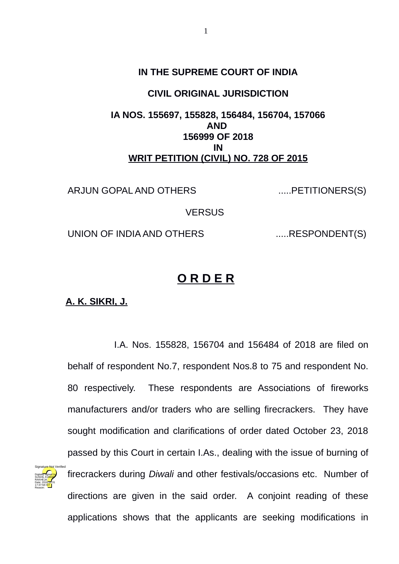## **IN THE SUPREME COURT OF INDIA**

## **CIVIL ORIGINAL JURISDICTION**

## **IA NOS. 155697, 155828, 156484, 156704, 157066 AND 156999 OF 2018 IN WRIT PETITION (CIVIL) NO. 728 OF 2015**

ARJUN GOPAL AND OTHERS ......PETITIONERS(S)

**VERSUS** 

UNION OF INDIA AND OTHERS ......RESPONDENT(S)

## **O R D E R**

**A. K. SIKRI, J.**

Digitally signed by SÜSHIL KÜMAR RAKHEJA Date: 2018.10.31 17:37:58 IST Reason:

I.A. Nos. 155828, 156704 and 156484 of 2018 are filed on behalf of respondent No.7, respondent Nos.8 to 75 and respondent No. 80 respectively. These respondents are Associations of fireworks manufacturers and/or traders who are selling firecrackers. They have sought modification and clarifications of order dated October 23, 2018 passed by this Court in certain I.As., dealing with the issue of burning of firecrackers during *Diwali* and other festivals/occasions etc. Number of directions are given in the said order. A conjoint reading of these applications shows that the applicants are seeking modifications in Signature Not Verified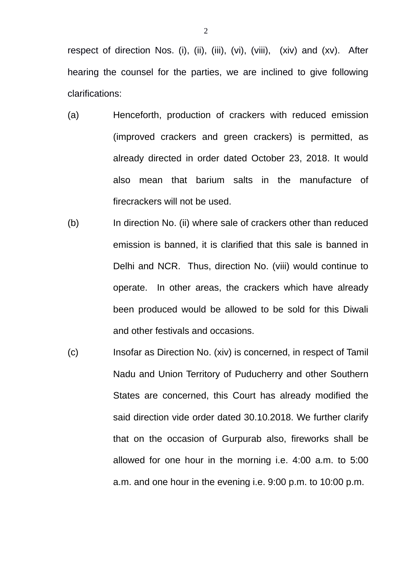respect of direction Nos. (i), (ii), (iii), (vi), (viii), (xiv) and (xv). After hearing the counsel for the parties, we are inclined to give following clarifications:

- (a) Henceforth, production of crackers with reduced emission (improved crackers and green crackers) is permitted, as already directed in order dated October 23, 2018. It would also mean that barium salts in the manufacture of firecrackers will not be used.
- (b) In direction No. (ii) where sale of crackers other than reduced emission is banned, it is clarified that this sale is banned in Delhi and NCR. Thus, direction No. (viii) would continue to operate. In other areas, the crackers which have already been produced would be allowed to be sold for this Diwali and other festivals and occasions.
- (c) Insofar as Direction No. (xiv) is concerned, in respect of Tamil Nadu and Union Territory of Puducherry and other Southern States are concerned, this Court has already modified the said direction vide order dated 30.10.2018. We further clarify that on the occasion of Gurpurab also, fireworks shall be allowed for one hour in the morning i.e. 4:00 a.m. to 5:00 a.m. and one hour in the evening i.e. 9:00 p.m. to 10:00 p.m.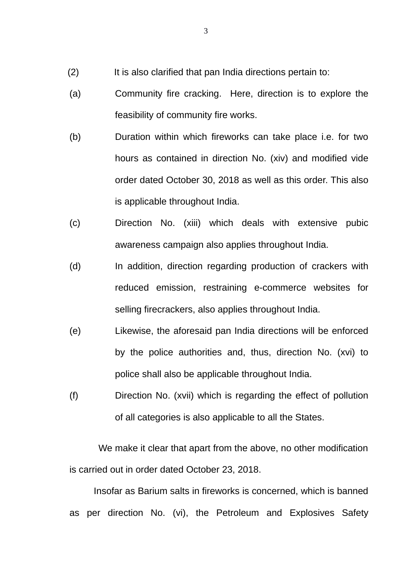- (2) It is also clarified that pan India directions pertain to:
- (a) Community fire cracking. Here, direction is to explore the feasibility of community fire works.
- (b) Duration within which fireworks can take place i.e. for two hours as contained in direction No. (xiv) and modified vide order dated October 30, 2018 as well as this order. This also is applicable throughout India.
- (c) Direction No. (xiii) which deals with extensive pubic awareness campaign also applies throughout India.
- (d) In addition, direction regarding production of crackers with reduced emission, restraining e-commerce websites for selling firecrackers, also applies throughout India.
- (e) Likewise, the aforesaid pan India directions will be enforced by the police authorities and, thus, direction No. (xvi) to police shall also be applicable throughout India.
- (f) Direction No. (xvii) which is regarding the effect of pollution of all categories is also applicable to all the States.

 We make it clear that apart from the above, no other modification is carried out in order dated October 23, 2018.

 Insofar as Barium salts in fireworks is concerned, which is banned as per direction No. (vi), the Petroleum and Explosives Safety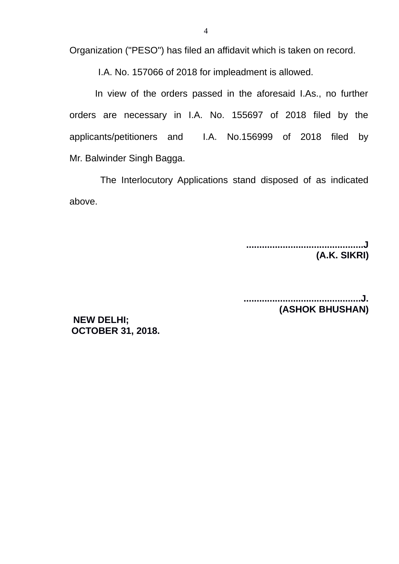Organization ("PESO") has filed an affidavit which is taken on record.

I.A. No. 157066 of 2018 for impleadment is allowed.

 In view of the orders passed in the aforesaid I.As., no further orders are necessary in I.A. No. 155697 of 2018 filed by the applicants/petitioners and I.A. No.156999 of 2018 filed by Mr. Balwinder Singh Bagga.

 The Interlocutory Applications stand disposed of as indicated above.

> **.............................................J (A.K. SIKRI)**

> **.............................................J. (ASHOK BHUSHAN)**

**NEW DELHI; OCTOBER 31, 2018.**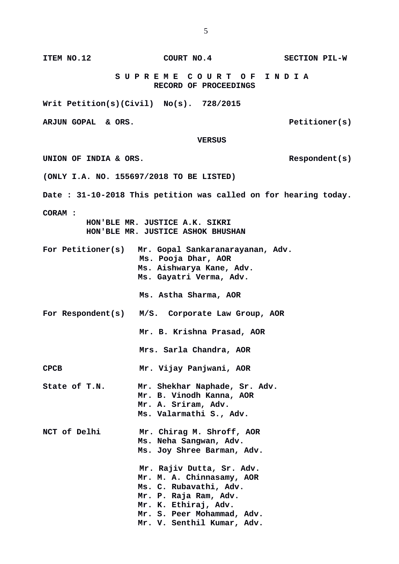**RECORD OF PROCEEDINGS Writ Petition(s)(Civil) No(s). 728/2015** ARJUN GOPAL & ORS.  **VERSUS** UNION OF INDIA & ORS. **(ONLY I.A. NO. 155697/2018 TO BE LISTED) Date : 31-10-2018 This petition was called on for hearing today. CORAM : HON'BLE MR. JUSTICE A.K. SIKRI HON'BLE MR. JUSTICE ASHOK BHUSHAN For Petitioner(s) Mr. Gopal Sankaranarayanan, Adv. Ms. Pooja Dhar, AOR Ms. Aishwarya Kane, Adv. Ms. Gayatri Verma, Adv. Ms. Astha Sharma, AOR For Respondent(s) M/S. Corporate Law Group, AOR Mr. B. Krishna Prasad, AOR Mrs. Sarla Chandra, AOR CPCB Mr. Vijay Panjwani, AOR State of T.N. Mr. Shekhar Naphade, Sr. Adv. Mr. B. Vinodh Kanna, AOR Mr. A. Sriram, Adv. Ms. Valarmathi S., Adv. NCT of Delhi Mr. Chirag M. Shroff, AOR Ms. Neha Sangwan, Adv. Ms. Joy Shree Barman, Adv. Mr. Rajiv Dutta, Sr. Adv. Mr. M. A. Chinnasamy, AOR Ms. C. Rubavathi, Adv. Mr. P. Raja Ram, Adv. Mr. K. Ethiraj, Adv. Mr. S. Peer Mohammad, Adv. Mr. V. Senthil Kumar, Adv.** 

**ITEM NO.12 COURT NO.4 SECTION PIL-W**

 **S U P R E M E C O U R T O F I N D I A**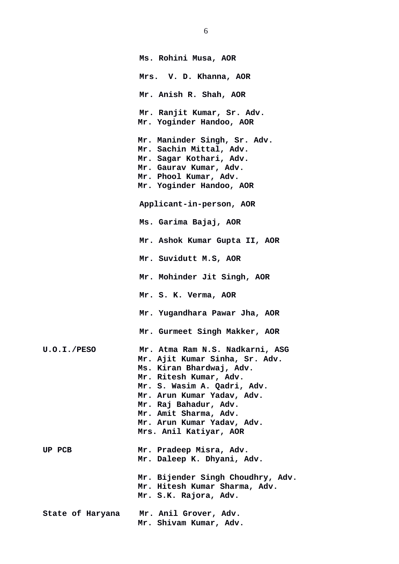|                    | Ms. Rohini Musa, AOR                                                                                                                                                                                                                                                                           |
|--------------------|------------------------------------------------------------------------------------------------------------------------------------------------------------------------------------------------------------------------------------------------------------------------------------------------|
|                    | Mrs. V. D. Khanna, AOR                                                                                                                                                                                                                                                                         |
|                    | Mr. Anish R. Shah, AOR                                                                                                                                                                                                                                                                         |
|                    | Mr. Ranjit Kumar, Sr. Adv.<br>Mr. Yoginder Handoo, AOR                                                                                                                                                                                                                                         |
|                    | Mr. Maninder Singh, Sr. Adv.<br>Mr. Sachin Mittal, Adv.<br>Mr. Sagar Kothari, Adv.<br>Mr. Gaurav Kumar, Adv.<br>Mr. Phool Kumar, Adv.<br>Mr. Yoginder Handoo, AOR                                                                                                                              |
|                    | Applicant-in-person, AOR                                                                                                                                                                                                                                                                       |
|                    | Ms. Garima Bajaj, AOR                                                                                                                                                                                                                                                                          |
|                    | Mr. Ashok Kumar Gupta II, AOR                                                                                                                                                                                                                                                                  |
|                    | Mr. Suvidutt M.S, AOR                                                                                                                                                                                                                                                                          |
|                    | Mr. Mohinder Jit Singh, AOR                                                                                                                                                                                                                                                                    |
|                    | Mr. S. K. Verma, AOR                                                                                                                                                                                                                                                                           |
|                    | Mr. Yugandhara Pawar Jha, AOR                                                                                                                                                                                                                                                                  |
|                    | Mr. Gurmeet Singh Makker, AOR                                                                                                                                                                                                                                                                  |
| <b>U.O.I./PESO</b> | Mr. Atma Ram N.S. Nadkarni, ASG<br>Mr. Ajit Kumar Sinha, Sr. Adv.<br>Ms. Kiran Bhardwaj, Adv.<br>Mr. Ritesh Kumar, Adv.<br>Mr. S. Wasim A. Qadri, Adv.<br>Mr. Arun Kumar Yadav, Adv.<br>Mr. Raj Bahadur, Adv.<br>Mr. Amit Sharma, Adv.<br>Mr. Arun Kumar Yadav, Adv.<br>Mrs. Anil Katiyar, AOR |
| <b>UP PCB</b>      | Mr. Pradeep Misra, Adv.<br>Mr. Daleep K. Dhyani, Adv.                                                                                                                                                                                                                                          |
|                    | Mr. Bijender Singh Choudhry, Adv.<br>Mr. Hitesh Kumar Sharma, Adv.<br>Mr. S.K. Rajora, Adv.                                                                                                                                                                                                    |
| State of Haryana   | Mr. Anil Grover, Adv.<br>Mr. Shivam Kumar, Adv.                                                                                                                                                                                                                                                |

6